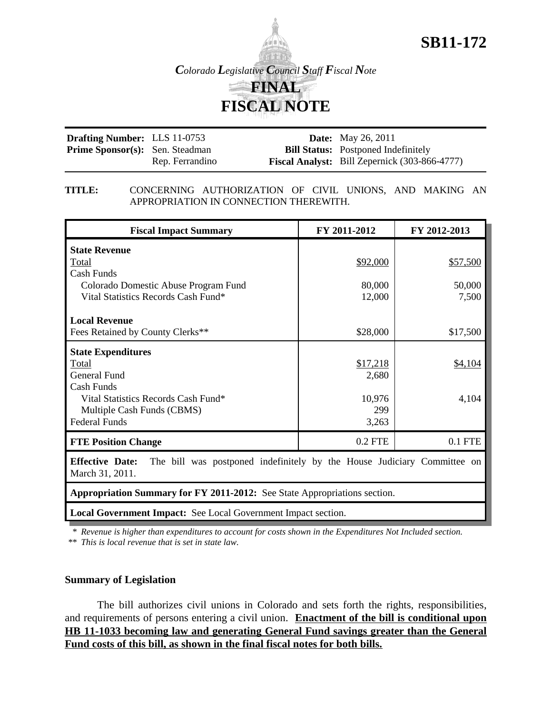

**SB11-172**

| <b>Drafting Number:</b> LLS 11-0753    |                 | <b>Date:</b> May 26, 2011                            |
|----------------------------------------|-----------------|------------------------------------------------------|
| <b>Prime Sponsor(s):</b> Sen. Steadman |                 | <b>Bill Status:</b> Postponed Indefinitely           |
|                                        | Rep. Ferrandino | <b>Fiscal Analyst:</b> Bill Zepernick (303-866-4777) |

### **TITLE:** CONCERNING AUTHORIZATION OF CIVIL UNIONS, AND MAKING AN APPROPRIATION IN CONNECTION THEREWITH.

| <b>Fiscal Impact Summary</b>                                                                                                                                         | FY 2011-2012                                | FY 2012-2013                |  |
|----------------------------------------------------------------------------------------------------------------------------------------------------------------------|---------------------------------------------|-----------------------------|--|
| <b>State Revenue</b><br>Total<br>Cash Funds<br>Colorado Domestic Abuse Program Fund<br>Vital Statistics Records Cash Fund*                                           | \$92,000<br>80,000<br>12,000                | \$57,500<br>50,000<br>7,500 |  |
| <b>Local Revenue</b><br>Fees Retained by County Clerks**                                                                                                             | \$28,000                                    | \$17,500                    |  |
| <b>State Expenditures</b><br>Total<br><b>General Fund</b><br>Cash Funds<br>Vital Statistics Records Cash Fund*<br>Multiple Cash Funds (CBMS)<br><b>Federal Funds</b> | \$17,218<br>2,680<br>10,976<br>299<br>3,263 | \$4,104<br>4,104            |  |
| <b>FTE Position Change</b>                                                                                                                                           | 0.2 FTE                                     | 0.1 FTE                     |  |
| <b>Effective Date:</b><br>The bill was postponed indefinitely by the House Judiciary Committee on<br>March 31, 2011.                                                 |                                             |                             |  |
| Appropriation Summary for FY 2011-2012: See State Appropriations section.                                                                                            |                                             |                             |  |
| Local Government Impact: See Local Government Impact section.                                                                                                        |                                             |                             |  |

\* *Revenue is higher than expenditures to account for costs shown in the Expenditures Not Included section.*

\*\* *This is local revenue that is set in state law.*

# **Summary of Legislation**

The bill authorizes civil unions in Colorado and sets forth the rights, responsibilities, and requirements of persons entering a civil union. **Enactment of the bill is conditional upon HB 11-1033 becoming law and generating General Fund savings greater than the General Fund costs of this bill, as shown in the final fiscal notes for both bills.**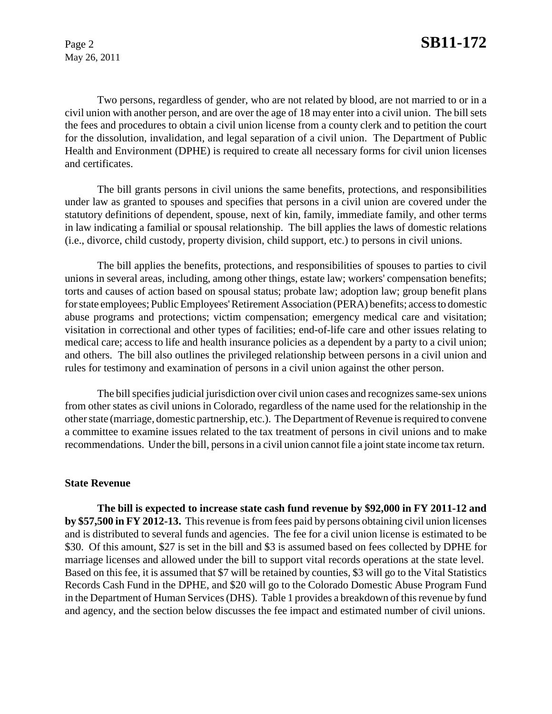Two persons, regardless of gender, who are not related by blood, are not married to or in a civil union with another person, and are over the age of 18 may enter into a civil union. The bill sets the fees and procedures to obtain a civil union license from a county clerk and to petition the court for the dissolution, invalidation, and legal separation of a civil union. The Department of Public Health and Environment (DPHE) is required to create all necessary forms for civil union licenses and certificates.

The bill grants persons in civil unions the same benefits, protections, and responsibilities under law as granted to spouses and specifies that persons in a civil union are covered under the statutory definitions of dependent, spouse, next of kin, family, immediate family, and other terms in law indicating a familial or spousal relationship. The bill applies the laws of domestic relations (i.e., divorce, child custody, property division, child support, etc.) to persons in civil unions.

The bill applies the benefits, protections, and responsibilities of spouses to parties to civil unions in several areas, including, among other things, estate law; workers' compensation benefits; torts and causes of action based on spousal status; probate law; adoption law; group benefit plans for state employees; Public Employees' Retirement Association (PERA) benefits; access to domestic abuse programs and protections; victim compensation; emergency medical care and visitation; visitation in correctional and other types of facilities; end-of-life care and other issues relating to medical care; access to life and health insurance policies as a dependent by a party to a civil union; and others. The bill also outlines the privileged relationship between persons in a civil union and rules for testimony and examination of persons in a civil union against the other person.

The bill specifies judicial jurisdiction over civil union cases and recognizes same-sex unions from other states as civil unions in Colorado, regardless of the name used for the relationship in the other state (marriage, domestic partnership, etc.). The Department of Revenue is required to convene a committee to examine issues related to the tax treatment of persons in civil unions and to make recommendations. Under the bill, persons in a civil union cannot file a joint state income tax return.

### **State Revenue**

**The bill is expected to increase state cash fund revenue by \$92,000 in FY 2011-12 and by \$57,500 in FY 2012-13.** This revenue is from fees paid by persons obtaining civil union licenses and is distributed to several funds and agencies. The fee for a civil union license is estimated to be \$30. Of this amount, \$27 is set in the bill and \$3 is assumed based on fees collected by DPHE for marriage licenses and allowed under the bill to support vital records operations at the state level. Based on this fee, it is assumed that \$7 will be retained by counties, \$3 will go to the Vital Statistics Records Cash Fund in the DPHE, and \$20 will go to the Colorado Domestic Abuse Program Fund in the Department of Human Services (DHS). Table 1 provides a breakdown of this revenue by fund and agency, and the section below discusses the fee impact and estimated number of civil unions.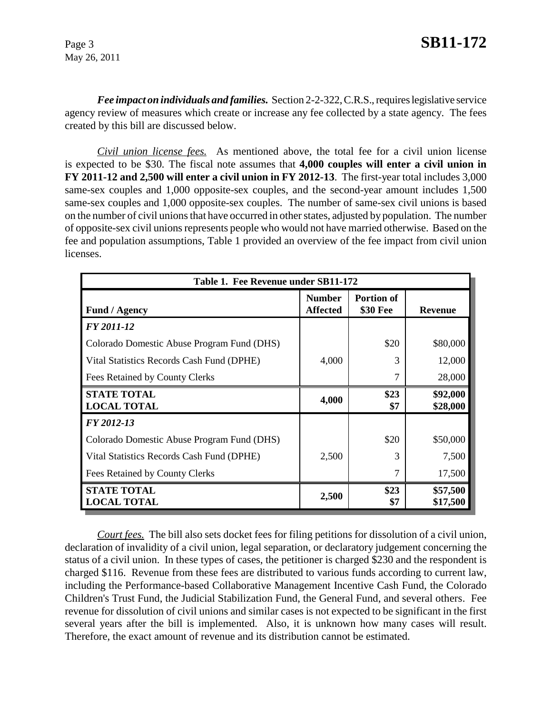*Fee impact on individuals and families.* Section 2-2-322, C.R.S., requires legislative service agency review of measures which create or increase any fee collected by a state agency. The fees created by this bill are discussed below.

*Civil union license fees.* As mentioned above, the total fee for a civil union license is expected to be \$30*.* The fiscal note assumes that **4,000 couples will enter a civil union in FY 2011-12 and 2,500 will enter a civil union in FY 2012-13**. The first-year total includes 3,000 same-sex couples and 1,000 opposite-sex couples, and the second-year amount includes 1,500 same-sex couples and 1,000 opposite-sex couples. The number of same-sex civil unions is based on the number of civil unions that have occurred in other states, adjusted by population. The number of opposite-sex civil unions represents people who would not have married otherwise. Based on the fee and population assumptions, Table 1 provided an overview of the fee impact from civil union licenses.

| Table 1. Fee Revenue under SB11-172        |                                  |                               |                      |
|--------------------------------------------|----------------------------------|-------------------------------|----------------------|
| <b>Fund / Agency</b>                       | <b>Number</b><br><b>Affected</b> | <b>Portion of</b><br>\$30 Fee | <b>Revenue</b>       |
| FY 2011-12                                 |                                  |                               |                      |
| Colorado Domestic Abuse Program Fund (DHS) |                                  | \$20                          | \$80,000             |
| Vital Statistics Records Cash Fund (DPHE)  | 4,000                            | 3                             | 12,000               |
| Fees Retained by County Clerks             |                                  | 7                             | 28,000               |
| <b>STATE TOTAL</b><br><b>LOCAL TOTAL</b>   | 4,000                            | \$23<br>\$7                   | \$92,000<br>\$28,000 |
| FY 2012-13                                 |                                  |                               |                      |
| Colorado Domestic Abuse Program Fund (DHS) |                                  | \$20                          | \$50,000             |
| Vital Statistics Records Cash Fund (DPHE)  | 2,500                            | 3                             | 7,500                |
| Fees Retained by County Clerks             |                                  | 7                             | 17,500               |
| <b>STATE TOTAL</b><br><b>LOCAL TOTAL</b>   | 2,500                            | \$23<br>\$7                   | \$57,500<br>\$17,500 |

*Court fees.* The bill also sets docket fees for filing petitions for dissolution of a civil union, declaration of invalidity of a civil union, legal separation, or declaratory judgement concerning the status of a civil union. In these types of cases, the petitioner is charged \$230 and the respondent is charged \$116. Revenue from these fees are distributed to various funds according to current law, including the Performance-based Collaborative Management Incentive Cash Fund, the Colorado Children's Trust Fund, the Judicial Stabilization Fund, the General Fund, and several others. Fee revenue for dissolution of civil unions and similar cases is not expected to be significant in the first several years after the bill is implemented. Also, it is unknown how many cases will result. Therefore, the exact amount of revenue and its distribution cannot be estimated.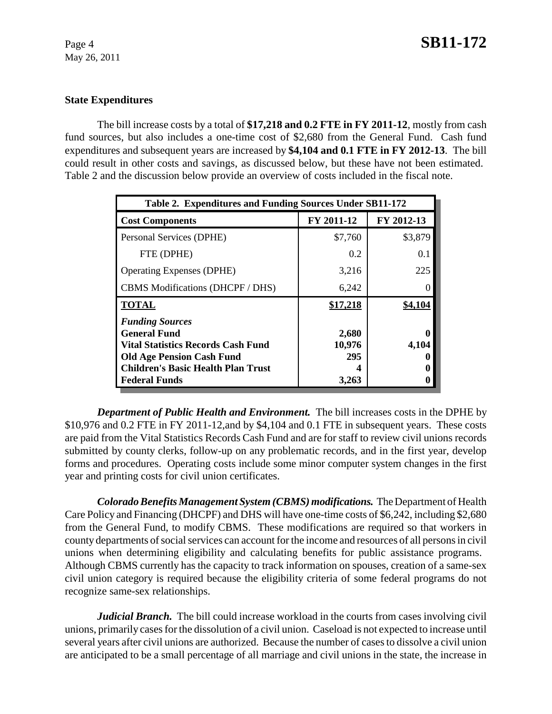## **State Expenditures**

The bill increase costs by a total of **\$17,218 and 0.2 FTE in FY 2011-12**, mostly from cash fund sources, but also includes a one-time cost of \$2,680 from the General Fund. Cash fund expenditures and subsequent years are increased by **\$4,104 and 0.1 FTE in FY 2012-13**. The bill could result in other costs and savings, as discussed below, but these have not been estimated. Table 2 and the discussion below provide an overview of costs included in the fiscal note.

| Table 2. Expenditures and Funding Sources Under SB11-172                                                                                                                                            |                                 |            |  |
|-----------------------------------------------------------------------------------------------------------------------------------------------------------------------------------------------------|---------------------------------|------------|--|
| <b>Cost Components</b>                                                                                                                                                                              | FY 2011-12                      | FY 2012-13 |  |
| Personal Services (DPHE)                                                                                                                                                                            | \$7,760                         | \$3,879    |  |
| FTE (DPHE)                                                                                                                                                                                          | 0.2                             | 0.1        |  |
| <b>Operating Expenses (DPHE)</b>                                                                                                                                                                    | 3,216                           | 225        |  |
| CBMS Modifications (DHCPF / DHS)                                                                                                                                                                    | 6,242                           |            |  |
| <b>TOTAL</b>                                                                                                                                                                                        | \$17,218                        | \$4,104    |  |
| <b>Funding Sources</b><br><b>General Fund</b><br><b>Vital Statistics Records Cash Fund</b><br><b>Old Age Pension Cash Fund</b><br><b>Children's Basic Health Plan Trust</b><br><b>Federal Funds</b> | 2,680<br>10,976<br>295<br>3,263 | 4,104      |  |

*Department of Public Health and Environment.* The bill increases costs in the DPHE by \$10,976 and 0.2 FTE in FY 2011-12,and by \$4,104 and 0.1 FTE in subsequent years. These costs are paid from the Vital Statistics Records Cash Fund and are for staff to review civil unions records submitted by county clerks, follow-up on any problematic records, and in the first year, develop forms and procedures. Operating costs include some minor computer system changes in the first year and printing costs for civil union certificates.

*Colorado Benefits Management System (CBMS) modifications.* The Department of Health Care Policy and Financing (DHCPF) and DHS will have one-time costs of \$6,242, including \$2,680 from the General Fund, to modify CBMS. These modifications are required so that workers in county departments of social services can account for the income and resources of all persons in civil unions when determining eligibility and calculating benefits for public assistance programs. Although CBMS currently has the capacity to track information on spouses, creation of a same-sex civil union category is required because the eligibility criteria of some federal programs do not recognize same-sex relationships.

*Judicial Branch.* The bill could increase workload in the courts from cases involving civil unions, primarily cases for the dissolution of a civil union. Caseload is not expected to increase until several years after civil unions are authorized. Because the number of cases to dissolve a civil union are anticipated to be a small percentage of all marriage and civil unions in the state, the increase in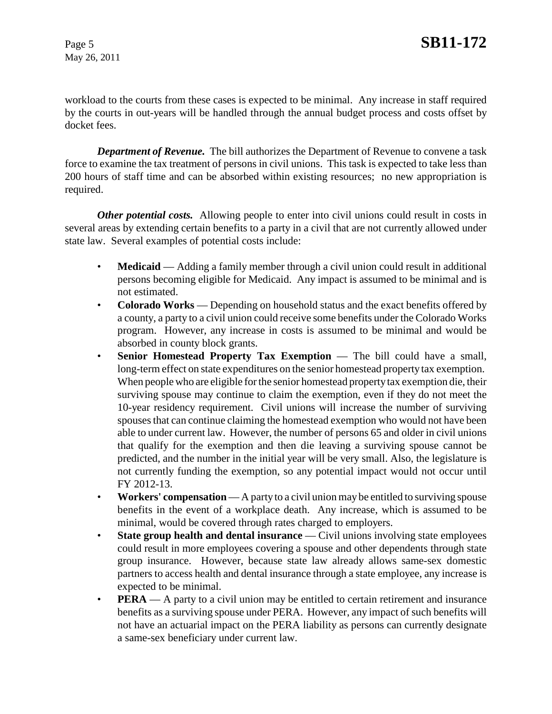workload to the courts from these cases is expected to be minimal. Any increase in staff required by the courts in out-years will be handled through the annual budget process and costs offset by docket fees.

*Department of Revenue.* The bill authorizes the Department of Revenue to convene a task force to examine the tax treatment of persons in civil unions. This task is expected to take less than 200 hours of staff time and can be absorbed within existing resources; no new appropriation is required.

*Other potential costs.* Allowing people to enter into civil unions could result in costs in several areas by extending certain benefits to a party in a civil that are not currently allowed under state law. Several examples of potential costs include:

- **Medicaid** Adding a family member through a civil union could result in additional persons becoming eligible for Medicaid. Any impact is assumed to be minimal and is not estimated.
- **Colorado Works** Depending on household status and the exact benefits offered by a county, a party to a civil union could receive some benefits under the Colorado Works program. However, any increase in costs is assumed to be minimal and would be absorbed in county block grants.
- **Senior Homestead Property Tax Exemption** The bill could have a small, long-term effect on state expenditures on the senior homestead property tax exemption. When people who are eligible for the senior homestead property tax exemption die, their surviving spouse may continue to claim the exemption, even if they do not meet the 10-year residency requirement. Civil unions will increase the number of surviving spouses that can continue claiming the homestead exemption who would not have been able to under current law. However, the number of persons 65 and older in civil unions that qualify for the exemption and then die leaving a surviving spouse cannot be predicted, and the number in the initial year will be very small. Also, the legislature is not currently funding the exemption, so any potential impact would not occur until FY 2012-13.
- **Workers' compensation** A party to a civil union may be entitled to surviving spouse benefits in the event of a workplace death. Any increase, which is assumed to be minimal, would be covered through rates charged to employers.
- **State group health and dental insurance** Civil unions involving state employees could result in more employees covering a spouse and other dependents through state group insurance. However, because state law already allows same-sex domestic partners to access health and dental insurance through a state employee, any increase is expected to be minimal.
- **PERA** A party to a civil union may be entitled to certain retirement and insurance benefits as a surviving spouse under PERA. However, any impact of such benefits will not have an actuarial impact on the PERA liability as persons can currently designate a same-sex beneficiary under current law.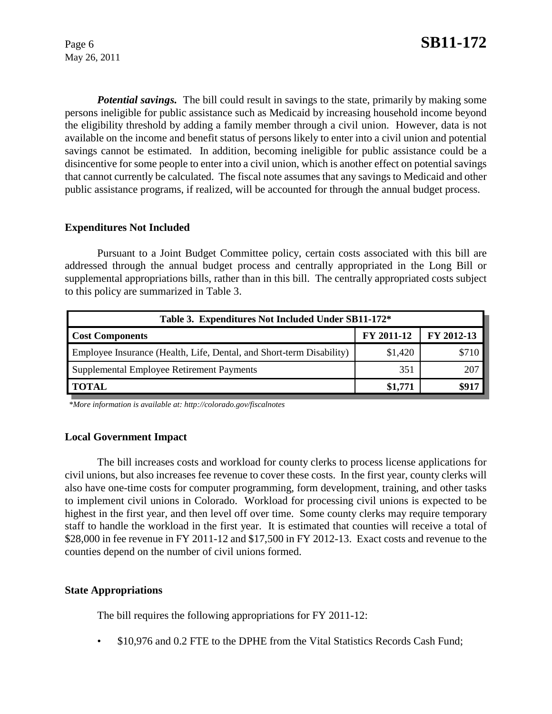*Potential savings.* The bill could result in savings to the state, primarily by making some persons ineligible for public assistance such as Medicaid by increasing household income beyond the eligibility threshold by adding a family member through a civil union. However, data is not available on the income and benefit status of persons likely to enter into a civil union and potential savings cannot be estimated. In addition, becoming ineligible for public assistance could be a disincentive for some people to enter into a civil union, which is another effect on potential savings that cannot currently be calculated. The fiscal note assumes that any savings to Medicaid and other public assistance programs, if realized, will be accounted for through the annual budget process.

### **Expenditures Not Included**

Pursuant to a Joint Budget Committee policy, certain costs associated with this bill are addressed through the annual budget process and centrally appropriated in the Long Bill or supplemental appropriations bills, rather than in this bill. The centrally appropriated costs subject to this policy are summarized in Table 3.

| Table 3. Expenditures Not Included Under SB11-172*                   |            |            |  |
|----------------------------------------------------------------------|------------|------------|--|
| <b>Cost Components</b>                                               | FY 2011-12 | FY 2012-13 |  |
| Employee Insurance (Health, Life, Dental, and Short-term Disability) | \$1,420    |            |  |
| Supplemental Employee Retirement Payments                            | 351        | 207        |  |
| <b>TOTAL</b>                                                         | \$1,771    |            |  |

 *\*More information is available at: http://colorado.gov/fiscalnotes*

### **Local Government Impact**

The bill increases costs and workload for county clerks to process license applications for civil unions, but also increases fee revenue to cover these costs. In the first year, county clerks will also have one-time costs for computer programming, form development, training, and other tasks to implement civil unions in Colorado. Workload for processing civil unions is expected to be highest in the first year, and then level off over time. Some county clerks may require temporary staff to handle the workload in the first year. It is estimated that counties will receive a total of \$28,000 in fee revenue in FY 2011-12 and \$17,500 in FY 2012-13. Exact costs and revenue to the counties depend on the number of civil unions formed.

### **State Appropriations**

The bill requires the following appropriations for FY 2011-12:

• \$10,976 and 0.2 FTE to the DPHE from the Vital Statistics Records Cash Fund;